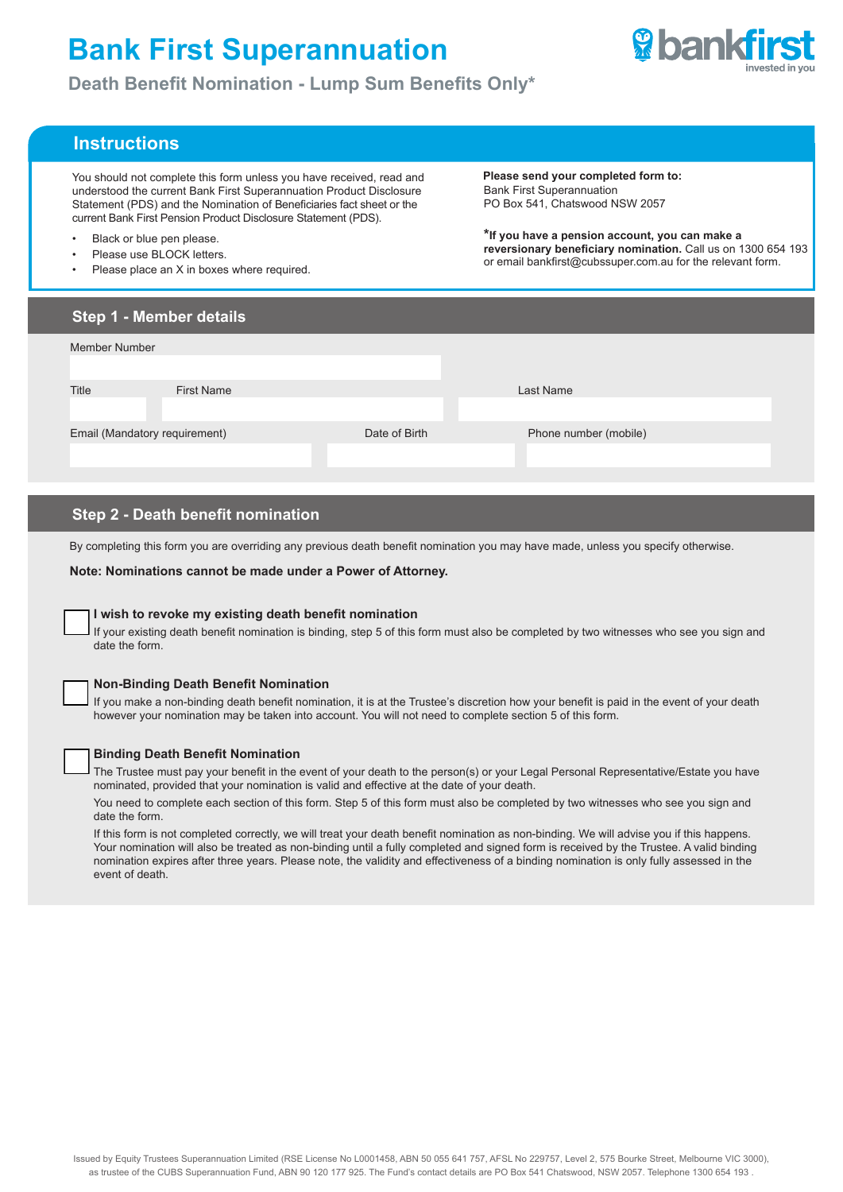# **Bank First Superannuation**



## **Death Benefit Nomination - Lump Sum Benefits Only\***

## **Instructions**

You should not complete this form unless you have received, read and understood the current Bank First Superannuation Product Disclosure Statement (PDS) and the Nomination of Beneficiaries fact sheet or the current Bank First Pension Product Disclosure Statement (PDS).

- Black or blue pen please.
- Please use BLOCK letters.
- Please place an X in boxes where required.

Bank First Superannuation PO Box 541, Chatswood NSW 2057 **Please send your completed form to:**

**\*If you have a pension account, you can make a reversionary beneficiary nomination.** Call us on 1300 654 193 or email bankfirst@cubssuper.com.au for the relevant form.

| <b>Step 1 - Member details</b> |                   |               |                       |  |  |
|--------------------------------|-------------------|---------------|-----------------------|--|--|
| Member Number                  |                   |               |                       |  |  |
|                                |                   |               |                       |  |  |
| Title                          | <b>First Name</b> |               | Last Name             |  |  |
|                                |                   |               |                       |  |  |
| Email (Mandatory requirement)  |                   | Date of Birth | Phone number (mobile) |  |  |
|                                |                   |               |                       |  |  |
|                                |                   |               |                       |  |  |

### **Step 2 - Death benefit nomination**

By completing this form you are overriding any previous death benefit nomination you may have made, unless you specify otherwise.

**Note: Nominations cannot be made under a Power of Attorney.**

#### **I wish to revoke my existing death benefit nomination**

If your existing death benefit nomination is binding, step 5 of this form must also be completed by two witnesses who see you sign and date the form.



#### **Non-Binding Death Benefit Nomination**

If you make a non-binding death benefit nomination, it is at the Trustee's discretion how your benefit is paid in the event of your death however your nomination may be taken into account. You will not need to complete section 5 of this form.



#### **Binding Death Benefit Nomination**

The Trustee must pay your benefit in the event of your death to the person(s) or your Legal Personal Representative/Estate you have nominated, provided that your nomination is valid and effective at the date of your death.

You need to complete each section of this form. Step 5 of this form must also be completed by two witnesses who see you sign and date the form.

If this form is not completed correctly, we will treat your death benefit nomination as non-binding. We will advise you if this happens. Your nomination will also be treated as non-binding until a fully completed and signed form is received by the Trustee. A valid binding nomination expires after three years. Please note, the validity and effectiveness of a binding nomination is only fully assessed in the event of death.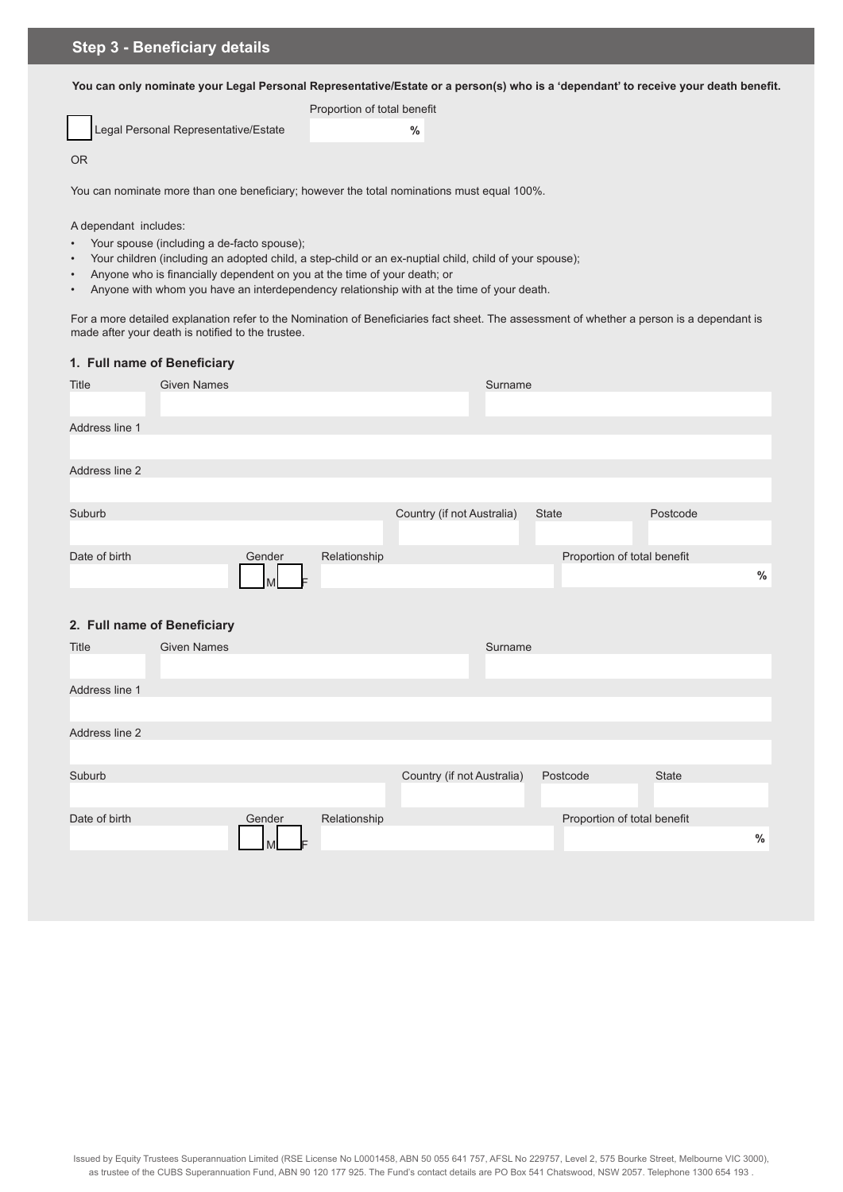**You can only nominate your Legal Personal Representative/Estate or a person(s) who is a 'dependant' to receive your death benefit.**

|                                      | Proportion of total benefit |  |
|--------------------------------------|-----------------------------|--|
| Legal Personal Representative/Estate | %                           |  |
|                                      |                             |  |

OR

You can nominate more than one beneficiary; however the total nominations must equal 100%.

A dependant includes:

- Your spouse (including a de-facto spouse);
- Your children (including an adopted child, a step-child or an ex-nuptial child, child of your spouse);
- Anyone who is financially dependent on you at the time of your death; or
- Anyone with whom you have an interdependency relationship with at the time of your death.

For a more detailed explanation refer to the Nomination of Beneficiaries fact sheet. The assessment of whether a person is a dependant is made after your death is notified to the trustee.

#### **1. Full name of Beneficiary**

| Title                       | <b>Given Names</b> |        |              |                            | Surname |                             |              |      |  |
|-----------------------------|--------------------|--------|--------------|----------------------------|---------|-----------------------------|--------------|------|--|
|                             |                    |        |              |                            |         |                             |              |      |  |
| Address line 1              |                    |        |              |                            |         |                             |              |      |  |
|                             |                    |        |              |                            |         |                             |              |      |  |
| Address line 2              |                    |        |              |                            |         |                             |              |      |  |
|                             |                    |        |              |                            |         |                             |              |      |  |
| Suburb                      |                    |        |              | Country (if not Australia) |         | <b>State</b>                | Postcode     |      |  |
|                             |                    |        |              |                            |         |                             |              |      |  |
| Date of birth               |                    | Gender | Relationship |                            |         | Proportion of total benefit |              |      |  |
|                             |                    |        |              |                            |         |                             |              | $\%$ |  |
|                             |                    |        |              |                            |         |                             |              |      |  |
| 2. Full name of Beneficiary |                    |        |              |                            |         |                             |              |      |  |
| Title                       | <b>Given Names</b> |        |              |                            | Surname |                             |              |      |  |
|                             |                    |        |              |                            |         |                             |              |      |  |
| Address line 1              |                    |        |              |                            |         |                             |              |      |  |
|                             |                    |        |              |                            |         |                             |              |      |  |
| Address line 2              |                    |        |              |                            |         |                             |              |      |  |
|                             |                    |        |              |                            |         |                             |              |      |  |
| Suburb                      |                    |        |              | Country (if not Australia) |         | Postcode                    | <b>State</b> |      |  |
|                             |                    |        |              |                            |         |                             |              |      |  |
| Date of birth               |                    | Gender | Relationship |                            |         | Proportion of total benefit |              |      |  |
|                             |                    |        |              |                            |         |                             | $\%$         |      |  |
|                             |                    |        |              |                            |         |                             |              |      |  |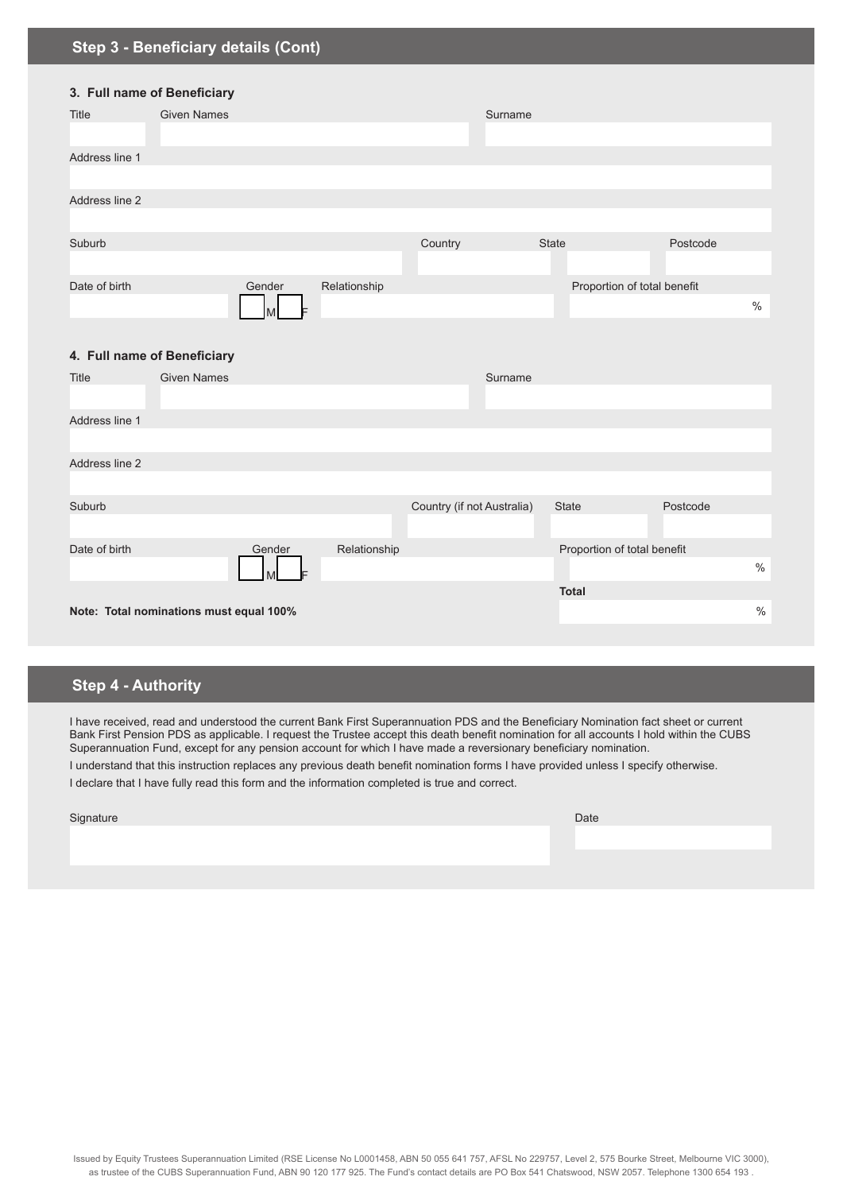## **Step 3 - Beneficiary details (Cont)**

## **3. Full name of Beneficiary** Title Given Names Given Surname Surname Surname Address line 1 Address line 2 Suburb Country State Postcode Postcode Date of birth Gender Relationship Proportion of total benefit **F** where the contract of the contract of the contract of the contract of the contract of the contract of the contract of the contract of the contract of the contract of the contract of the contract of the contract of the cont **4. Full name of Beneficiary** Title Given Names Surname Surname Surname Address line 1 Address line 2 Suburb Country (if not Australia) State Postcode Date of birth Gender Gender Relationship Proportion of total benefit **L** M<br>F where the contract of the contract of the contract of the contract of the contract of the contract of the contract of the contract of the contract of the contract of the contract of the contract of the contract of the cont  **Total Note: Total nominations must equal 100%** %

## **Step 4 - Authority**

I have received, read and understood the current Bank First Superannuation PDS and the Beneficiary Nomination fact sheet or current Bank First Pension PDS as applicable. I request the Trustee accept this death benefit nomination for all accounts I hold within the CUBS Superannuation Fund, except for any pension account for which I have made a reversionary beneficiary nomination.

I understand that this instruction replaces any previous death benefit nomination forms I have provided unless I specify otherwise.

I declare that I have fully read this form and the information completed is true and correct.

| Signature |  |
|-----------|--|
|           |  |